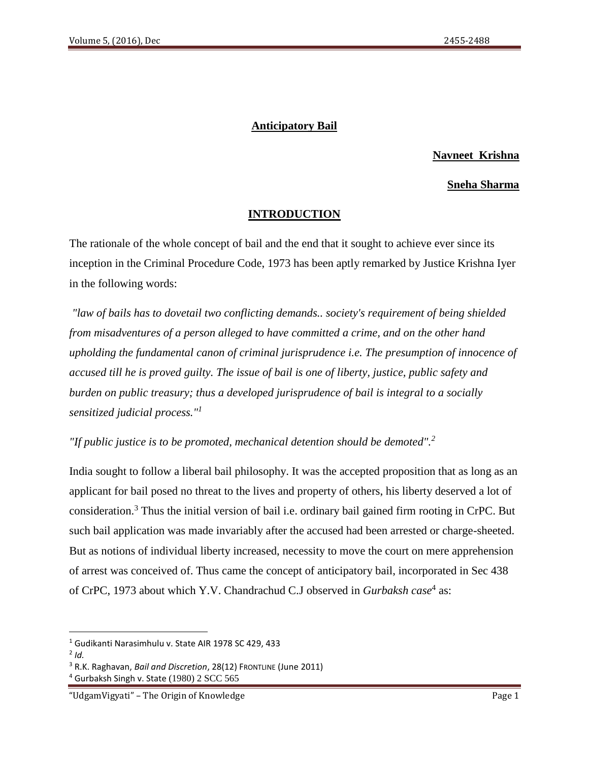## **Anticipatory Bail**

## **Navneet Krishna**

#### **Sneha Sharma**

#### **INTRODUCTION**

The rationale of the whole concept of bail and the end that it sought to achieve ever since its inception in the Criminal Procedure Code, 1973 has been aptly remarked by Justice Krishna Iyer in the following words:

*"law of bails has to dovetail two conflicting demands.. society's requirement of being shielded from misadventures of a person alleged to have committed a crime, and on the other hand upholding the fundamental canon of criminal jurisprudence i.e. The presumption of innocence of accused till he is proved guilty. The issue of bail is one of liberty, justice, public safety and burden on public treasury; thus a developed jurisprudence of bail is integral to a socially sensitized judicial process."<sup>1</sup>*

*"If public justice is to be promoted, mechanical detention should be demoted".<sup>2</sup>*

India sought to follow a liberal bail philosophy. It was the accepted proposition that as long as an applicant for bail posed no threat to the lives and property of others, his liberty deserved a lot of consideration.<sup>3</sup> Thus the initial version of bail i.e. ordinary bail gained firm rooting in CrPC. But such bail application was made invariably after the accused had been arrested or charge-sheeted. But as notions of individual liberty increased, necessity to move the court on mere apprehension of arrest was conceived of. Thus came the concept of anticipatory bail, incorporated in Sec 438 of CrPC, 1973 about which Y.V. Chandrachud C.J observed in *Gurbaksh case*<sup>4</sup> as:

<sup>1</sup> Gudikanti Narasimhulu v. State AIR 1978 SC 429, 433

<sup>2</sup> *Id.*

<sup>3</sup> R.K. Raghavan, *Bail and Discretion*, 28(12) FRONTLINE (June 2011)

<sup>4</sup> Gurbaksh Singh v. State (1980) 2 SCC 565

<sup>&</sup>quot;UdgamVigyati" – The Origin of Knowledge Page 1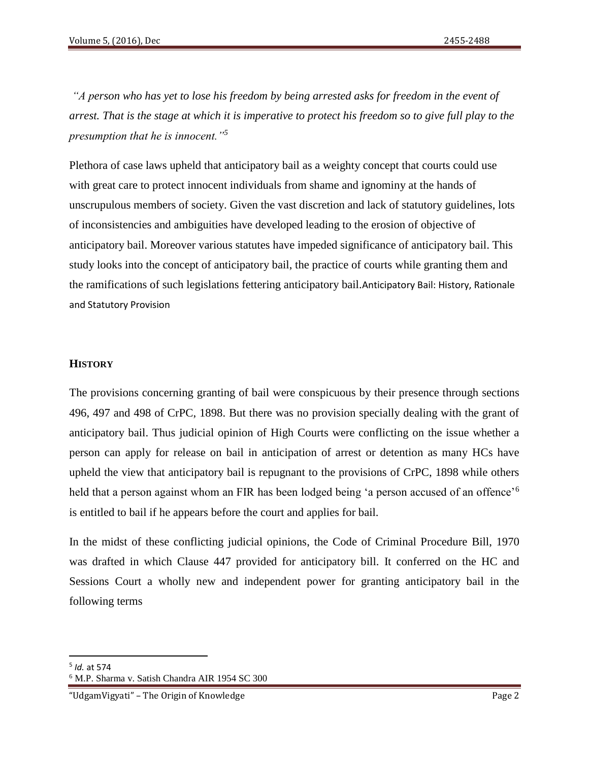*"A person who has yet to lose his freedom by being arrested asks for freedom in the event of arrest. That is the stage at which it is imperative to protect his freedom so to give full play to the presumption that he is innocent."<sup>5</sup>*

Plethora of case laws upheld that anticipatory bail as a weighty concept that courts could use with great care to protect innocent individuals from shame and ignominy at the hands of unscrupulous members of society. Given the vast discretion and lack of statutory guidelines, lots of inconsistencies and ambiguities have developed leading to the erosion of objective of anticipatory bail. Moreover various statutes have impeded significance of anticipatory bail. This study looks into the concept of anticipatory bail, the practice of courts while granting them and the ramifications of such legislations fettering anticipatory bail.Anticipatory Bail: History, Rationale and Statutory Provision

## **HISTORY**

The provisions concerning granting of bail were conspicuous by their presence through sections 496, 497 and 498 of CrPC, 1898. But there was no provision specially dealing with the grant of anticipatory bail. Thus judicial opinion of High Courts were conflicting on the issue whether a person can apply for release on bail in anticipation of arrest or detention as many HCs have upheld the view that anticipatory bail is repugnant to the provisions of CrPC, 1898 while others held that a person against whom an FIR has been lodged being 'a person accused of an offence'<sup>6</sup> is entitled to bail if he appears before the court and applies for bail.

In the midst of these conflicting judicial opinions, the Code of Criminal Procedure Bill, 1970 was drafted in which Clause 447 provided for anticipatory bill. It conferred on the HC and Sessions Court a wholly new and independent power for granting anticipatory bail in the following terms

<sup>5</sup> *Id.* at 574

<sup>6</sup> M.P. Sharma v. Satish Chandra AIR 1954 SC 300

<sup>&</sup>quot;UdgamVigyati" – The Origin of Knowledge Page 2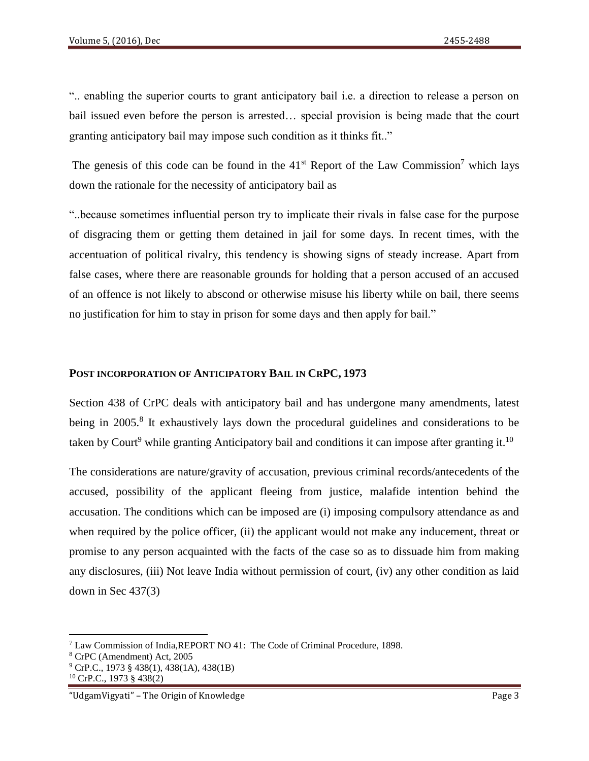".. enabling the superior courts to grant anticipatory bail i.e. a direction to release a person on bail issued even before the person is arrested… special provision is being made that the court granting anticipatory bail may impose such condition as it thinks fit.."

The genesis of this code can be found in the  $41<sup>st</sup>$  Report of the Law Commission<sup>7</sup> which lays down the rationale for the necessity of anticipatory bail as

"..because sometimes influential person try to implicate their rivals in false case for the purpose of disgracing them or getting them detained in jail for some days. In recent times, with the accentuation of political rivalry, this tendency is showing signs of steady increase. Apart from false cases, where there are reasonable grounds for holding that a person accused of an accused of an offence is not likely to abscond or otherwise misuse his liberty while on bail, there seems no justification for him to stay in prison for some days and then apply for bail."

#### **POST INCORPORATION OF ANTICIPATORY BAIL IN CRPC, 1973**

Section 438 of CrPC deals with anticipatory bail and has undergone many amendments, latest being in 2005.<sup>8</sup> It exhaustively lays down the procedural guidelines and considerations to be taken by Court<sup>9</sup> while granting Anticipatory bail and conditions it can impose after granting it.<sup>10</sup>

The considerations are nature/gravity of accusation, previous criminal records/antecedents of the accused, possibility of the applicant fleeing from justice, malafide intention behind the accusation. The conditions which can be imposed are (i) imposing compulsory attendance as and when required by the police officer, (ii) the applicant would not make any inducement, threat or promise to any person acquainted with the facts of the case so as to dissuade him from making any disclosures, (iii) Not leave India without permission of court, (iv) any other condition as laid down in Sec 437(3)

<sup>7</sup> Law Commission of India,REPORT NO 41: The Code of Criminal Procedure, 1898.

<sup>8</sup> CrPC (Amendment) Act, 2005

 $9^{\circ}$  CrP.C., 1973 § 438(1), 438(1A), 438(1B)

<sup>10</sup> CrP.C., 1973 § 438(2)

<sup>&</sup>quot;UdgamVigyati" – The Origin of Knowledge Page 3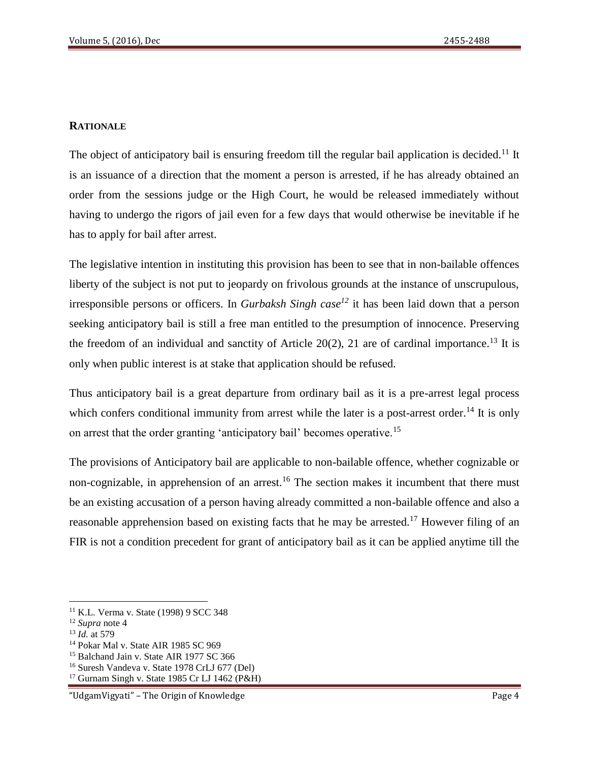### **RATIONALE**

The object of anticipatory bail is ensuring freedom till the regular bail application is decided.<sup>11</sup> It is an issuance of a direction that the moment a person is arrested, if he has already obtained an order from the sessions judge or the High Court, he would be released immediately without having to undergo the rigors of jail even for a few days that would otherwise be inevitable if he has to apply for bail after arrest.

The legislative intention in instituting this provision has been to see that in non-bailable offences liberty of the subject is not put to jeopardy on frivolous grounds at the instance of unscrupulous, irresponsible persons or officers. In *Gurbaksh Singh case<sup>12</sup>* it has been laid down that a person seeking anticipatory bail is still a free man entitled to the presumption of innocence. Preserving the freedom of an individual and sanctity of Article 20(2), 21 are of cardinal importance.<sup>13</sup> It is only when public interest is at stake that application should be refused.

Thus anticipatory bail is a great departure from ordinary bail as it is a pre-arrest legal process which confers conditional immunity from arrest while the later is a post-arrest order.<sup>14</sup> It is only on arrest that the order granting 'anticipatory bail' becomes operative.<sup>15</sup>

The provisions of Anticipatory bail are applicable to non-bailable offence, whether cognizable or non-cognizable, in apprehension of an arrest.<sup>16</sup> The section makes it incumbent that there must be an existing accusation of a person having already committed a non-bailable offence and also a reasonable apprehension based on existing facts that he may be arrested.<sup>17</sup> However filing of an FIR is not a condition precedent for grant of anticipatory bail as it can be applied anytime till the

 $\overline{a}$ <sup>11</sup> K.L. Verma v. State (1998) 9 SCC 348

<sup>12</sup> *Supra* note 4

<sup>13</sup> *Id.* at 579

<sup>14</sup> Pokar Mal v. State AIR 1985 SC 969

<sup>&</sup>lt;sup>15</sup> Balchand Jain v. State AIR 1977 SC 366

<sup>16</sup> Suresh Vandeva v. State 1978 CrLJ 677 (Del)

<sup>17</sup> Gurnam Singh v. State 1985 Cr LJ 1462 (P&H)

<sup>&</sup>quot;UdgamVigyati" – The Origin of Knowledge Page 4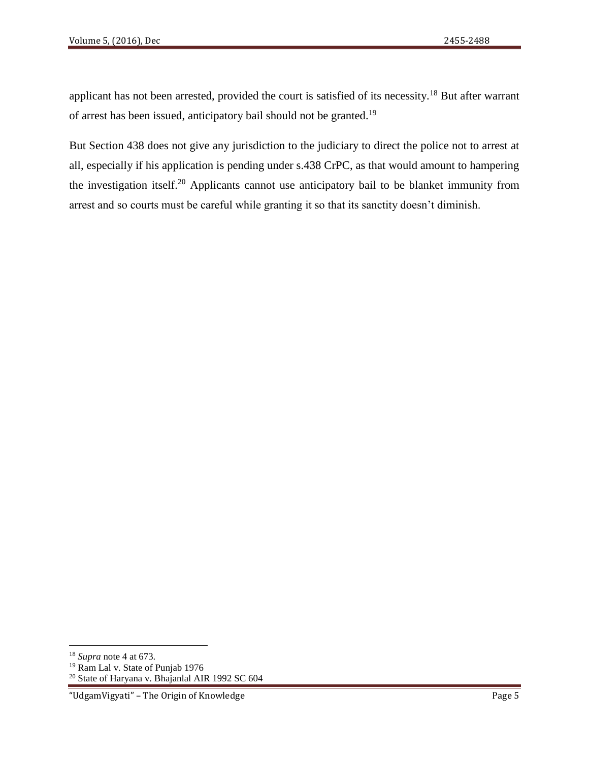applicant has not been arrested, provided the court is satisfied of its necessity.<sup>18</sup> But after warrant of arrest has been issued, anticipatory bail should not be granted.<sup>19</sup>

But Section 438 does not give any jurisdiction to the judiciary to direct the police not to arrest at all, especially if his application is pending under s.438 CrPC, as that would amount to hampering the investigation itself.<sup>20</sup> Applicants cannot use anticipatory bail to be blanket immunity from arrest and so courts must be careful while granting it so that its sanctity doesn't diminish.

 $\overline{\phantom{a}}$ 

<sup>20</sup> State of Haryana v. Bhajanlal AIR 1992 SC 604

<sup>18</sup> *Supra* note 4 at 673.

<sup>&</sup>lt;sup>19</sup> Ram Lal v. State of Punjab 1976

<sup>&</sup>quot;UdgamVigyati" – The Origin of Knowledge Page 5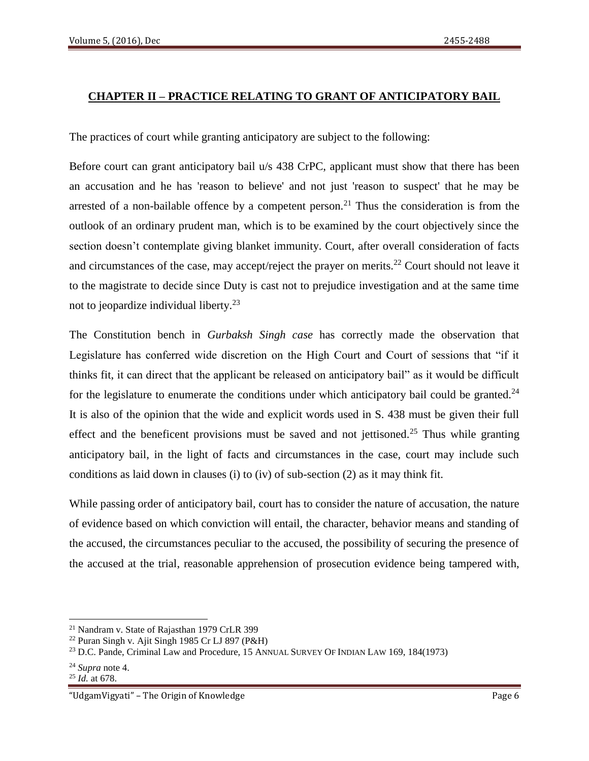## **CHAPTER II – PRACTICE RELATING TO GRANT OF ANTICIPATORY BAIL**

The practices of court while granting anticipatory are subject to the following:

Before court can grant anticipatory bail u/s 438 CrPC, applicant must show that there has been an accusation and he has 'reason to believe' and not just 'reason to suspect' that he may be arrested of a non-bailable offence by a competent person.<sup>21</sup> Thus the consideration is from the outlook of an ordinary prudent man, which is to be examined by the court objectively since the section doesn't contemplate giving blanket immunity. Court, after overall consideration of facts and circumstances of the case, may accept/reject the prayer on merits.<sup>22</sup> Court should not leave it to the magistrate to decide since Duty is cast not to prejudice investigation and at the same time not to jeopardize individual liberty.<sup>23</sup>

The Constitution bench in *Gurbaksh Singh case* has correctly made the observation that Legislature has conferred wide discretion on the High Court and Court of sessions that "if it thinks fit, it can direct that the applicant be released on anticipatory bail" as it would be difficult for the legislature to enumerate the conditions under which anticipatory bail could be granted. $24$ It is also of the opinion that the wide and explicit words used in S. 438 must be given their full effect and the beneficent provisions must be saved and not jettisoned.<sup>25</sup> Thus while granting anticipatory bail, in the light of facts and circumstances in the case, court may include such conditions as laid down in clauses (i) to (iv) of sub-section (2) as it may think fit.

While passing order of anticipatory bail, court has to consider the nature of accusation, the nature of evidence based on which conviction will entail, the character, behavior means and standing of the accused, the circumstances peculiar to the accused, the possibility of securing the presence of the accused at the trial, reasonable apprehension of prosecution evidence being tampered with,

 $\overline{\phantom{a}}$ <sup>21</sup> Nandram v. State of Rajasthan 1979 CrLR 399

<sup>22</sup> Puran Singh v. Ajit Singh 1985 Cr LJ 897 (P&H)

<sup>&</sup>lt;sup>23</sup> D.C. Pande, Criminal Law and Procedure, 15 ANNUAL SURVEY OF INDIAN LAW 169, 184(1973)

<sup>24</sup> *Supra* note 4.

<sup>25</sup> *Id.* at 678.

<sup>&</sup>quot;UdgamVigyati" – The Origin of Knowledge Page 6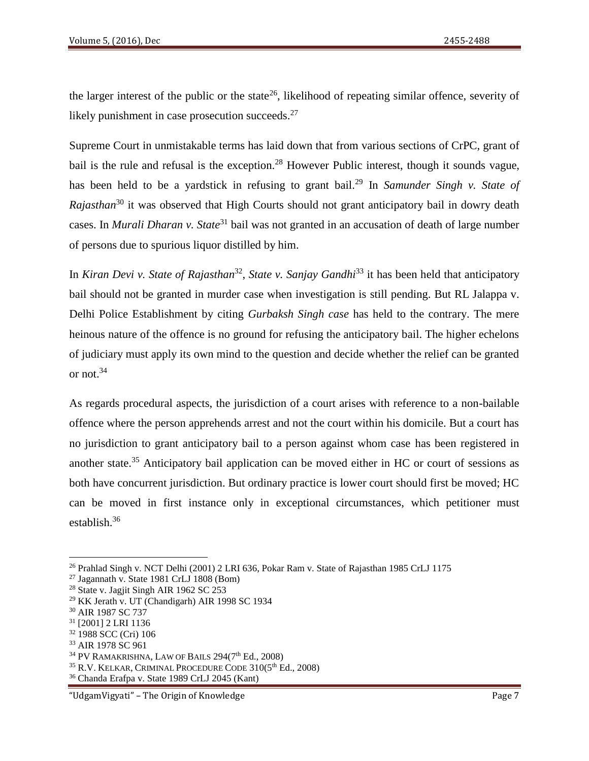the larger interest of the public or the state<sup>26</sup>, likelihood of repeating similar offence, severity of likely punishment in case prosecution succeeds.<sup>27</sup>

Supreme Court in unmistakable terms has laid down that from various sections of CrPC, grant of bail is the rule and refusal is the exception.<sup>28</sup> However Public interest, though it sounds vague, has been held to be a vardstick in refusing to grant bail.<sup>29</sup> In *Samunder Singh v. State of Rajasthan*<sup>30</sup> it was observed that High Courts should not grant anticipatory bail in dowry death cases. In *Murali Dharan v. State*<sup>31</sup> bail was not granted in an accusation of death of large number of persons due to spurious liquor distilled by him.

In *Kiran Devi v. State of Rajasthan*<sup>32</sup>, *State v. Sanjay Gandhi*<sup>33</sup> it has been held that anticipatory bail should not be granted in murder case when investigation is still pending. But RL Jalappa v. Delhi Police Establishment by citing *Gurbaksh Singh case* has held to the contrary. The mere heinous nature of the offence is no ground for refusing the anticipatory bail. The higher echelons of judiciary must apply its own mind to the question and decide whether the relief can be granted or not.<sup>34</sup>

As regards procedural aspects, the jurisdiction of a court arises with reference to a non-bailable offence where the person apprehends arrest and not the court within his domicile. But a court has no jurisdiction to grant anticipatory bail to a person against whom case has been registered in another state.<sup>35</sup> Anticipatory bail application can be moved either in HC or court of sessions as both have concurrent jurisdiction. But ordinary practice is lower court should first be moved; HC can be moved in first instance only in exceptional circumstances, which petitioner must establish.<sup>36</sup>

<sup>26</sup> Prahlad Singh v. NCT Delhi (2001) 2 LRI 636, Pokar Ram v. State of Rajasthan 1985 CrLJ 1175

<sup>27</sup> Jagannath v. State 1981 CrLJ 1808 (Bom)

<sup>&</sup>lt;sup>28</sup> State v. Jagjit Singh AIR 1962 SC 253

<sup>29</sup> KK Jerath v. UT (Chandigarh) AIR 1998 SC 1934

<sup>30</sup> AIR 1987 SC 737

<sup>31</sup> [2001] 2 LRI 1136

<sup>32</sup> 1988 SCC (Cri) 106

<sup>33</sup> AIR 1978 SC 961

 $34$  PV RAMAKRISHNA, LAW OF BAILS 294(7<sup>th</sup> Ed., 2008)

<sup>&</sup>lt;sup>35</sup> R.V. KELKAR, CRIMINAL PROCEDURE CODE 310(5<sup>th</sup> Ed., 2008)

<sup>36</sup> Chanda Erafpa v. State 1989 CrLJ 2045 (Kant)

<sup>&</sup>quot;UdgamVigyati" – The Origin of Knowledge Page 7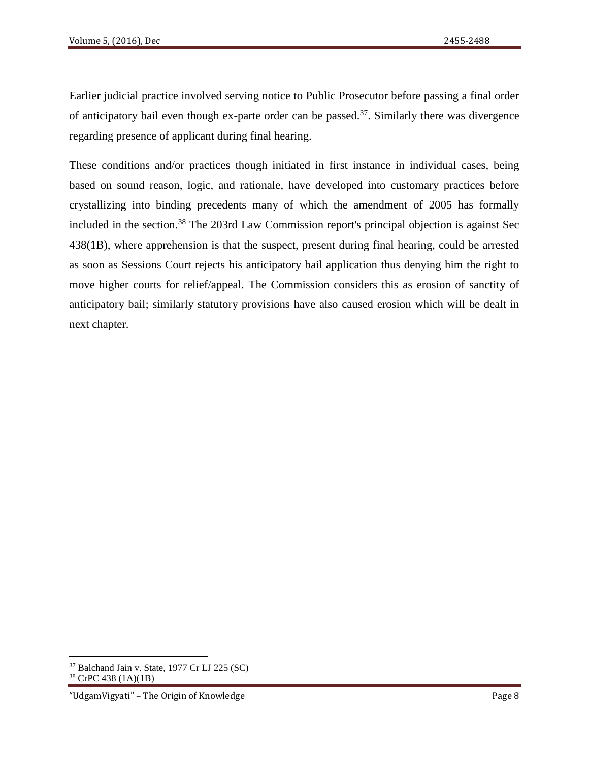Earlier judicial practice involved serving notice to Public Prosecutor before passing a final order of anticipatory bail even though ex-parte order can be passed.<sup>37</sup>. Similarly there was divergence regarding presence of applicant during final hearing.

These conditions and/or practices though initiated in first instance in individual cases, being based on sound reason, logic, and rationale, have developed into customary practices before crystallizing into binding precedents many of which the amendment of 2005 has formally included in the section.<sup>38</sup> The 203rd Law Commission report's principal objection is against Sec 438(1B), where apprehension is that the suspect, present during final hearing, could be arrested as soon as Sessions Court rejects his anticipatory bail application thus denying him the right to move higher courts for relief/appeal. The Commission considers this as erosion of sanctity of anticipatory bail; similarly statutory provisions have also caused erosion which will be dealt in next chapter.

l

<sup>37</sup> Balchand Jain v. State, 1977 Cr LJ 225 (SC)

<sup>38</sup> CrPC 438 (1A)(1B)

<sup>&</sup>quot;UdgamVigyati" – The Origin of Knowledge Page 8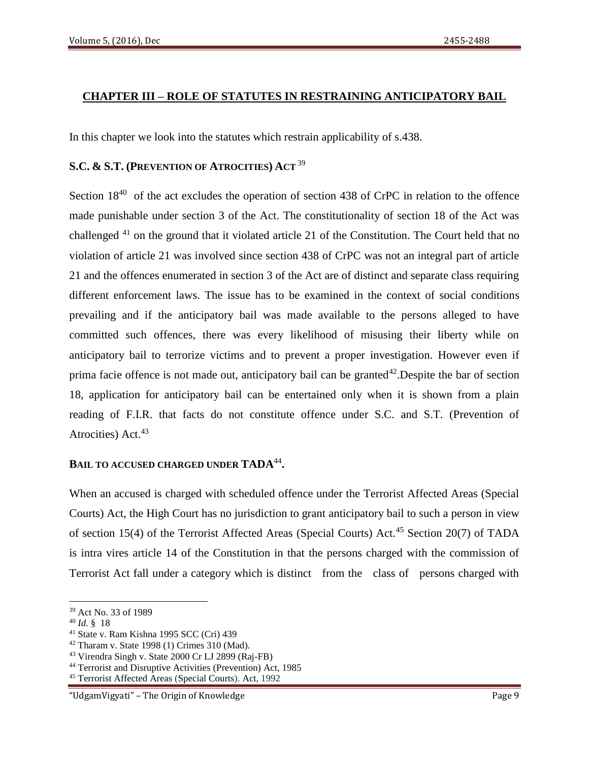## **CHAPTER III – ROLE OF STATUTES IN RESTRAINING ANTICIPATORY BAIL**

In this chapter we look into the statutes which restrain applicability of s.438.

## **S.C. & S.T. (PREVENTION OF ATROCITIES) ACT** <sup>39</sup>

Section  $18^{40}$  of the act excludes the operation of section 438 of CrPC in relation to the offence made punishable under section 3 of the Act. The constitutionality of section 18 of the Act was challenged <sup>41</sup> on the ground that it violated article 21 of the Constitution. The Court held that no violation of article 21 was involved since section 438 of CrPC was not an integral part of article 21 and the offences enumerated in section 3 of the Act are of distinct and separate class requiring different enforcement laws. The issue has to be examined in the context of social conditions prevailing and if the anticipatory bail was made available to the persons alleged to have committed such offences, there was every likelihood of misusing their liberty while on anticipatory bail to terrorize victims and to prevent a proper investigation. However even if prima facie offence is not made out, anticipatory bail can be granted<sup>42</sup>. Despite the bar of section 18, application for anticipatory bail can be entertained only when it is shown from a plain reading of F.I.R. that facts do not constitute offence under S.C. and S.T. (Prevention of Atrocities) Act.<sup>43</sup>

## **BAIL TO ACCUSED CHARGED UNDER TADA**<sup>44</sup> **.**

When an accused is charged with scheduled offence under the Terrorist Affected Areas (Special Courts) Act, the High Court has no jurisdiction to grant anticipatory bail to such a person in view of section 15(4) of the Terrorist Affected Areas (Special Courts) Act.<sup>45</sup> Section 20(7) of TADA is intra vires article 14 of the Constitution in that the persons charged with the commission of Terrorist Act fall under a category which is distinct from the class of persons charged with

 $\overline{a}$ 

<sup>39</sup> Act No. 33 of 1989

<sup>40</sup> *Id.* § 18

<sup>41</sup> State v. Ram Kishna 1995 SCC (Cri) 439

<sup>42</sup> Tharam v. State 1998 (1) Crimes 310 (Mad).

<sup>43</sup> Virendra Singh v. State 2000 Cr LJ 2899 (Raj-FB)

<sup>44</sup> Terrorist and Disruptive Activities (Prevention) Act, 1985

<sup>45</sup> Terrorist Affected Areas (Special Courts). Act, 1992

<sup>&</sup>quot;UdgamVigyati" – The Origin of Knowledge Page 9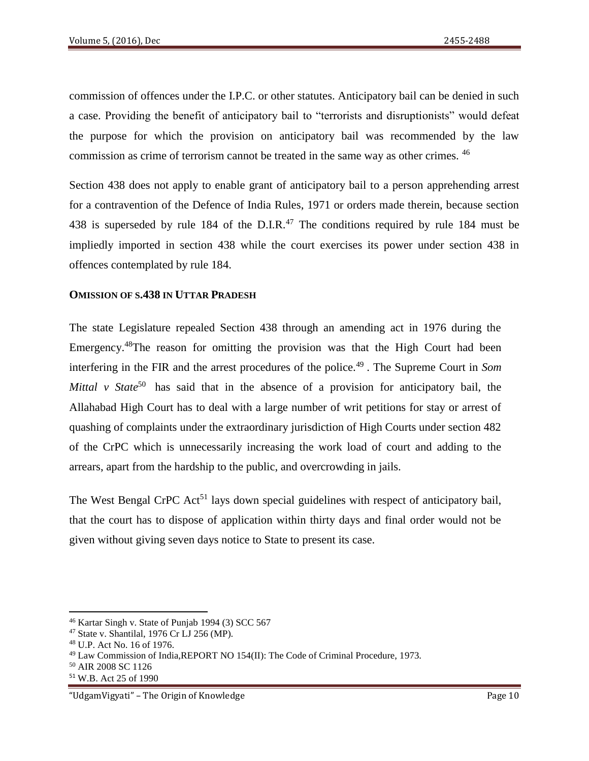commission of offences under the I.P.C. or other statutes. Anticipatory bail can be denied in such a case. Providing the benefit of anticipatory bail to "terrorists and disruptionists" would defeat the purpose for which the provision on anticipatory bail was recommended by the law commission as crime of terrorism cannot be treated in the same way as other crimes. <sup>46</sup>

Section 438 does not apply to enable grant of anticipatory bail to a person apprehending arrest for a contravention of the Defence of India Rules, 1971 or orders made therein, because section 438 is superseded by rule 184 of the D.I.R.<sup>47</sup> The conditions required by rule 184 must be impliedly imported in section 438 while the court exercises its power under section 438 in offences contemplated by rule 184.

## **OMISSION OF S.438 IN UTTAR PRADESH**

The state Legislature repealed Section 438 through an amending act in 1976 during the Emergency.<sup>48</sup>The reason for omitting the provision was that the High Court had been interfering in the FIR and the arrest procedures of the police.<sup>49</sup>. The Supreme Court in *Som Mittal v State*<sup>50</sup> has said that in the absence of a provision for anticipatory bail, the Allahabad High Court has to deal with a large number of writ petitions for stay or arrest of quashing of complaints under the extraordinary jurisdiction of High Courts under section 482 of the CrPC which is unnecessarily increasing the work load of court and adding to the arrears, apart from the hardship to the public, and overcrowding in jails.

The West Bengal CrPC Act<sup>51</sup> lays down special guidelines with respect of anticipatory bail, that the court has to dispose of application within thirty days and final order would not be given without giving seven days notice to State to present its case.

<sup>46</sup> Kartar Singh v. State of Punjab 1994 (3) SCC 567

<sup>47</sup> State v. Shantilal, 1976 Cr LJ 256 (MP).

<sup>48</sup> U.P. Act No. 16 of 1976.

<sup>49</sup> Law Commission of India,REPORT NO 154(II): The Code of Criminal Procedure, 1973.

<sup>50</sup> AIR 2008 SC 1126

<sup>51</sup> W.B. Act 25 of 1990

<sup>&</sup>quot;UdgamVigyati" – The Origin of Knowledge Page 10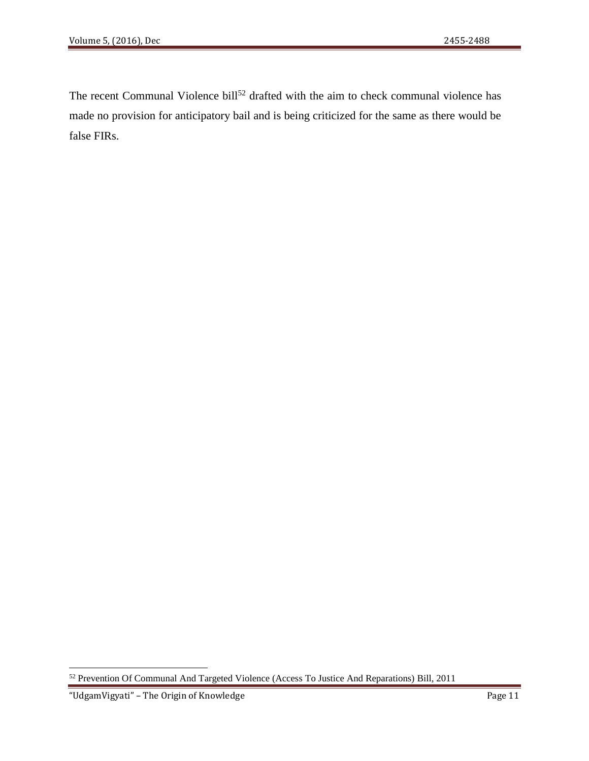The recent Communal Violence bill<sup>52</sup> drafted with the aim to check communal violence has made no provision for anticipatory bail and is being criticized for the same as there would be false FIRs.

 $\overline{a}$ 

<sup>&</sup>lt;sup>52</sup> Prevention Of Communal And Targeted Violence (Access To Justice And Reparations) Bill, 2011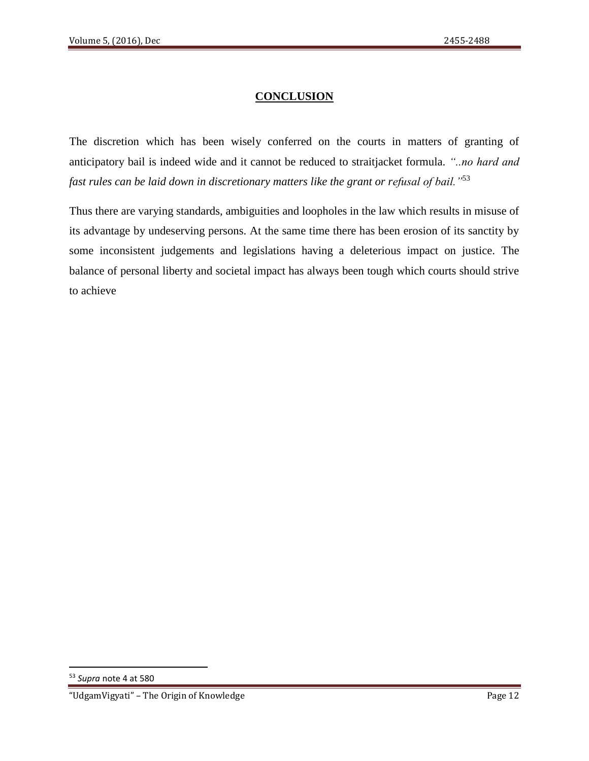# **CONCLUSION**

The discretion which has been wisely conferred on the courts in matters of granting of anticipatory bail is indeed wide and it cannot be reduced to straitjacket formula. *"..no hard and fast rules can be laid down in discretionary matters like the grant or refusal of bail."*<sup>53</sup>

Thus there are varying standards, ambiguities and loopholes in the law which results in misuse of its advantage by undeserving persons. At the same time there has been erosion of its sanctity by some inconsistent judgements and legislations having a deleterious impact on justice. The balance of personal liberty and societal impact has always been tough which courts should strive to achieve

 $\overline{a}$ 

<sup>53</sup> *Supra* note 4 at 580

<sup>&</sup>quot;UdgamVigyati" – The Origin of Knowledge Page 12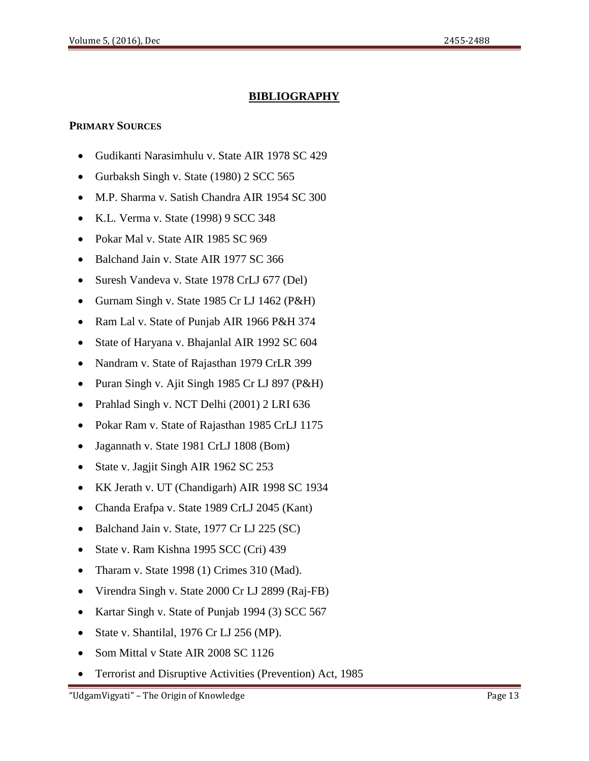# **BIBLIOGRAPHY**

### **PRIMARY SOURCES**

- Gudikanti Narasimhulu v. State AIR 1978 SC 429
- Gurbaksh Singh v. State (1980) 2 SCC 565
- M.P. Sharma v. Satish Chandra AIR 1954 SC 300
- K.L. Verma v. State (1998) 9 SCC 348
- Pokar Mal v. State AIR 1985 SC 969
- Balchand Jain v. State AIR 1977 SC 366
- Suresh Vandeva v. State 1978 CrLJ 677 (Del)
- Gurnam Singh v. State 1985 Cr LJ 1462 (P&H)
- Ram Lal v. State of Punjab AIR 1966 P&H 374
- State of Haryana v. Bhajanlal AIR 1992 SC 604
- Nandram v. State of Rajasthan 1979 CrLR 399
- Puran Singh v. Ajit Singh 1985 Cr LJ 897 (P&H)
- Prahlad Singh v. NCT Delhi (2001) 2 LRI 636
- Pokar Ram v. State of Rajasthan 1985 CrLJ 1175
- Jagannath v. State 1981 CrLJ 1808 (Bom)
- State v. Jagjit Singh AIR 1962 SC 253
- KK Jerath v. UT (Chandigarh) AIR 1998 SC 1934
- Chanda Erafpa v. State 1989 CrLJ 2045 (Kant)
- Balchand Jain v. State, 1977 Cr LJ 225 (SC)
- State v. Ram Kishna 1995 SCC (Cri) 439
- Tharam v. State 1998 (1) Crimes 310 (Mad).
- Virendra Singh v. State 2000 Cr LJ 2899 (Raj-FB)
- Kartar Singh v. State of Punjab 1994 (3) SCC 567
- State v. Shantilal, 1976 Cr LJ 256 (MP).
- Som Mittal v State AIR 2008 SC 1126
- Terrorist and Disruptive Activities (Prevention) Act, 1985